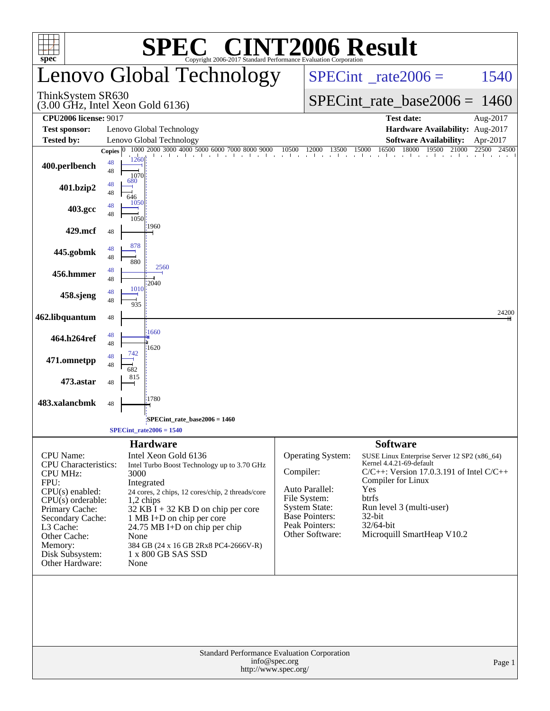|                                                                                                                                                                                                                                            | <b>C® CINT2006 Result</b><br>SPI                                                                                                                                                                                                                                                                                                                                               |                                                  |                                                                                                                                           |                                                                                                                                                                                                                                                                     |             |  |  |
|--------------------------------------------------------------------------------------------------------------------------------------------------------------------------------------------------------------------------------------------|--------------------------------------------------------------------------------------------------------------------------------------------------------------------------------------------------------------------------------------------------------------------------------------------------------------------------------------------------------------------------------|--------------------------------------------------|-------------------------------------------------------------------------------------------------------------------------------------------|---------------------------------------------------------------------------------------------------------------------------------------------------------------------------------------------------------------------------------------------------------------------|-------------|--|--|
| $spec^*$                                                                                                                                                                                                                                   | Copyright 2006-2017 Standard Performance Evaluation Corporation<br>Lenovo Global Technology                                                                                                                                                                                                                                                                                    | $SPECint^{\circ}$ <sub>_rate2006</sub> =<br>1540 |                                                                                                                                           |                                                                                                                                                                                                                                                                     |             |  |  |
| ThinkSystem SR630                                                                                                                                                                                                                          | $(3.00 \text{ GHz}, \text{Intel Xeon Gold } 6136)$                                                                                                                                                                                                                                                                                                                             |                                                  | SPECint rate base $2006 = 1460$                                                                                                           |                                                                                                                                                                                                                                                                     |             |  |  |
| <b>CPU2006 license: 9017</b>                                                                                                                                                                                                               |                                                                                                                                                                                                                                                                                                                                                                                |                                                  |                                                                                                                                           | <b>Test date:</b>                                                                                                                                                                                                                                                   | Aug-2017    |  |  |
| <b>Test sponsor:</b>                                                                                                                                                                                                                       | Lenovo Global Technology                                                                                                                                                                                                                                                                                                                                                       |                                                  |                                                                                                                                           | Hardware Availability: Aug-2017                                                                                                                                                                                                                                     |             |  |  |
| Tested by:                                                                                                                                                                                                                                 | Lenovo Global Technology                                                                                                                                                                                                                                                                                                                                                       |                                                  |                                                                                                                                           | <b>Software Availability:</b>                                                                                                                                                                                                                                       | Apr-2017    |  |  |
| 400.perlbench                                                                                                                                                                                                                              | 1000 2000 3000 4000 5000 6000 7000 8000 9000<br>Copies $ 0 $<br>1 . 1 . 1 . 1 . 1 . 1 . 1 . 1 1<br>1260<br>48<br>48<br>1070<br>680                                                                                                                                                                                                                                             | 10500                                            |                                                                                                                                           | 16500<br>18000<br>19500<br>21000<br>0 12000 13500 15000 16500 18000 19500 21                                                                                                                                                                                        | 22500 24500 |  |  |
| 401.bzip2                                                                                                                                                                                                                                  | 48<br>48<br>646                                                                                                                                                                                                                                                                                                                                                                |                                                  |                                                                                                                                           |                                                                                                                                                                                                                                                                     |             |  |  |
| 403.gcc                                                                                                                                                                                                                                    | 1050<br>48<br>48<br>1050                                                                                                                                                                                                                                                                                                                                                       |                                                  |                                                                                                                                           |                                                                                                                                                                                                                                                                     |             |  |  |
| 429.mcf                                                                                                                                                                                                                                    | 1960<br>48                                                                                                                                                                                                                                                                                                                                                                     |                                                  |                                                                                                                                           |                                                                                                                                                                                                                                                                     |             |  |  |
| 445.gobmk                                                                                                                                                                                                                                  | 878<br>48<br>48<br>880                                                                                                                                                                                                                                                                                                                                                         |                                                  |                                                                                                                                           |                                                                                                                                                                                                                                                                     |             |  |  |
| 456.hmmer                                                                                                                                                                                                                                  | 2560<br>48<br>48<br>2040                                                                                                                                                                                                                                                                                                                                                       |                                                  |                                                                                                                                           |                                                                                                                                                                                                                                                                     |             |  |  |
| 458.sjeng                                                                                                                                                                                                                                  | 1010<br>48<br>48<br>935                                                                                                                                                                                                                                                                                                                                                        |                                                  |                                                                                                                                           |                                                                                                                                                                                                                                                                     |             |  |  |
| 462.libquantum                                                                                                                                                                                                                             | 48                                                                                                                                                                                                                                                                                                                                                                             |                                                  |                                                                                                                                           |                                                                                                                                                                                                                                                                     | 24200       |  |  |
| 464.h264ref                                                                                                                                                                                                                                | 1660<br>48<br>48<br>1620                                                                                                                                                                                                                                                                                                                                                       |                                                  |                                                                                                                                           |                                                                                                                                                                                                                                                                     |             |  |  |
| 471.omnetpp                                                                                                                                                                                                                                | 742<br>48<br>48                                                                                                                                                                                                                                                                                                                                                                |                                                  |                                                                                                                                           |                                                                                                                                                                                                                                                                     |             |  |  |
| 473.astar                                                                                                                                                                                                                                  | 815<br>48                                                                                                                                                                                                                                                                                                                                                                      |                                                  |                                                                                                                                           |                                                                                                                                                                                                                                                                     |             |  |  |
| 483.xalancbmk                                                                                                                                                                                                                              | 1780<br>48                                                                                                                                                                                                                                                                                                                                                                     |                                                  |                                                                                                                                           |                                                                                                                                                                                                                                                                     |             |  |  |
|                                                                                                                                                                                                                                            | SPECint_rate_base2006 = 1460<br>$SPECint_rate2006 = 1540$                                                                                                                                                                                                                                                                                                                      |                                                  |                                                                                                                                           |                                                                                                                                                                                                                                                                     |             |  |  |
|                                                                                                                                                                                                                                            |                                                                                                                                                                                                                                                                                                                                                                                |                                                  |                                                                                                                                           |                                                                                                                                                                                                                                                                     |             |  |  |
| <b>CPU</b> Name:<br><b>CPU</b> Characteristics:<br><b>CPU MHz:</b><br>FPU:<br>$CPU(s)$ enabled:<br>$CPU(s)$ orderable:<br>Primary Cache:<br>Secondary Cache:<br>L3 Cache:<br>Other Cache:<br>Memory:<br>Disk Subsystem:<br>Other Hardware: | <b>Hardware</b><br>Intel Xeon Gold 6136<br>Intel Turbo Boost Technology up to 3.70 GHz<br>3000<br>Integrated<br>24 cores, 2 chips, 12 cores/chip, 2 threads/core<br>$1,2$ chips<br>32 KB $\overline{I}$ + 32 KB D on chip per core<br>1 MB I+D on chip per core<br>24.75 MB I+D on chip per chip<br>None<br>384 GB (24 x 16 GB 2Rx8 PC4-2666V-R)<br>1 x 800 GB SAS SSD<br>None | Compiler:                                        | Operating System:<br>Auto Parallel:<br>File System:<br><b>System State:</b><br><b>Base Pointers:</b><br>Peak Pointers:<br>Other Software: | <b>Software</b><br>SUSE Linux Enterprise Server 12 SP2 (x86_64)<br>Kernel 4.4.21-69-default<br>$C/C++$ : Version 17.0.3.191 of Intel $C/C++$<br>Compiler for Linux<br>Yes<br>btrfs<br>Run level 3 (multi-user)<br>32-bit<br>32/64-bit<br>Microquill SmartHeap V10.2 |             |  |  |
|                                                                                                                                                                                                                                            | Standard Performance Evaluation Corporation<br>info@spec.org<br>http://www.spec.org/                                                                                                                                                                                                                                                                                           |                                                  |                                                                                                                                           |                                                                                                                                                                                                                                                                     | Page 1      |  |  |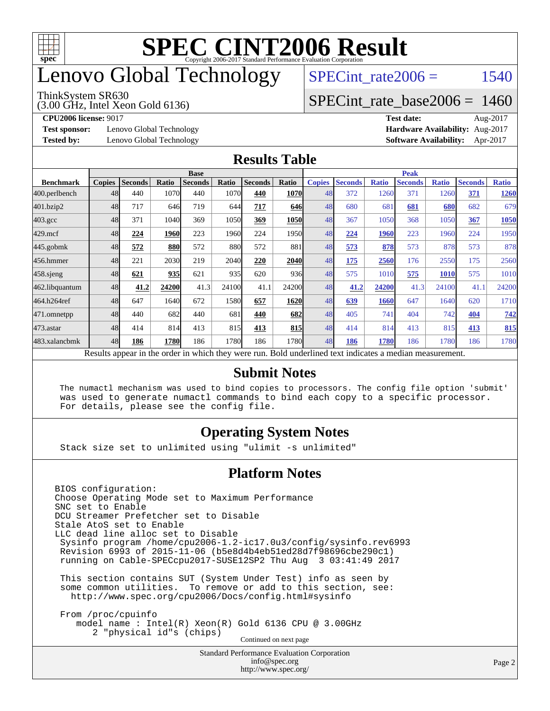

## enovo Global Technology

#### ThinkSystem SR630

(3.00 GHz, Intel Xeon Gold 6136)

SPECint rate $2006 = 1540$ 

### [SPECint\\_rate\\_base2006 =](http://www.spec.org/auto/cpu2006/Docs/result-fields.html#SPECintratebase2006) 1460

**[Test sponsor:](http://www.spec.org/auto/cpu2006/Docs/result-fields.html#Testsponsor)** Lenovo Global Technology **[Hardware Availability:](http://www.spec.org/auto/cpu2006/Docs/result-fields.html#HardwareAvailability)** Aug-2017

**[CPU2006 license:](http://www.spec.org/auto/cpu2006/Docs/result-fields.html#CPU2006license)** 9017 **[Test date:](http://www.spec.org/auto/cpu2006/Docs/result-fields.html#Testdate)** Aug-2017 **[Tested by:](http://www.spec.org/auto/cpu2006/Docs/result-fields.html#Testedby)** Lenovo Global Technology **[Software Availability:](http://www.spec.org/auto/cpu2006/Docs/result-fields.html#SoftwareAvailability)** Apr-2017

#### **[Results Table](http://www.spec.org/auto/cpu2006/Docs/result-fields.html#ResultsTable)**

|                                                                                                          | <b>Base</b>   |                |       |                |       |                | <b>Peak</b> |               |                |              |                |              |                |              |
|----------------------------------------------------------------------------------------------------------|---------------|----------------|-------|----------------|-------|----------------|-------------|---------------|----------------|--------------|----------------|--------------|----------------|--------------|
| <b>Benchmark</b>                                                                                         | <b>Copies</b> | <b>Seconds</b> | Ratio | <b>Seconds</b> | Ratio | <b>Seconds</b> | Ratio       | <b>Copies</b> | <b>Seconds</b> | <b>Ratio</b> | <b>Seconds</b> | <b>Ratio</b> | <b>Seconds</b> | <b>Ratio</b> |
| 400.perlbench                                                                                            | 48            | 440            | 1070  | 440            | 1070  | 440            | <b>1070</b> | 48            | 372            | 1260         | 371            | 1260         | 371            | 1260         |
| 401.bzip2                                                                                                | 48            | 717            | 646   | 719            | 644   | 717            | 646         | 48            | 680            | 681          | 681            | 680          | 682            | 679          |
| $403.\mathrm{gcc}$                                                                                       | 48            | 371            | 1040  | 369            | 1050  | 369            | <b>1050</b> | 48            | 367            | 1050         | 368            | 1050         | 367            | 1050         |
| $429$ .mcf                                                                                               | 48            | 224            | 1960  | 223            | 1960  | 224            | 1950l       | 48            | 224            | 1960         | 223            | 1960         | 224            | 1950         |
| $445$ .gobmk                                                                                             | 48            | 572            | 880   | 572            | 880   | 572            | 881         | 48            | 573            | 878          | 573            | 878          | 573            | 878          |
| 456.hmmer                                                                                                | 48            | 221            | 2030  | 219            | 2040  | 220            | 2040        | 48            | 175            | 2560         | 176            | 2550         | 175            | 2560         |
| $458$ .sjeng                                                                                             | 48            | 621            | 935   | 621            | 935   | 620            | 936         | 48            | 575            | 1010         | 575            | 1010         | 575            | 1010         |
| 462.libquantum                                                                                           | 48            | 41.2           | 24200 | 41.3           | 24100 | 41.1           | 24200       | 48            | 41.2           | 24200        | 41.3           | 24100        | 41.1           | 24200        |
| 464.h264ref                                                                                              | 48            | 647            | 1640  | 672            | 1580  | 657            | 1620        | 48            | 639            | 1660         | 647            | 1640         | 620            | 1710         |
| 471.omnetpp                                                                                              | 48            | 440            | 682   | 440            | 681   | 440            | 682         | 48            | 405            | 741          | 404            | 742          | 404            | 742          |
| $473$ . astar                                                                                            | 48            | 414            | 814   | 413            | 815   | 413            | 815         | 48            | 414            | 814          | 413            | 815          | 413            | 815          |
| 483.xalancbmk                                                                                            | 48            | 186            | 1780  | 186            | 1780  | 186            | 1780        | 48            | 186            | 1780         | 186            | 1780         | 186            | 1780         |
| Results appear in the order in which they were run. Bold underlined text indicates a median measurement. |               |                |       |                |       |                |             |               |                |              |                |              |                |              |

#### **[Submit Notes](http://www.spec.org/auto/cpu2006/Docs/result-fields.html#SubmitNotes)**

 The numactl mechanism was used to bind copies to processors. The config file option 'submit' was used to generate numactl commands to bind each copy to a specific processor. For details, please see the config file.

### **[Operating System Notes](http://www.spec.org/auto/cpu2006/Docs/result-fields.html#OperatingSystemNotes)**

Stack size set to unlimited using "ulimit -s unlimited"

#### **[Platform Notes](http://www.spec.org/auto/cpu2006/Docs/result-fields.html#PlatformNotes)**

<http://www.spec.org/>

Standard Performance Evaluation Corporation [info@spec.org](mailto:info@spec.org) BIOS configuration: Choose Operating Mode set to Maximum Performance SNC set to Enable DCU Streamer Prefetcher set to Disable Stale AtoS set to Enable LLC dead line alloc set to Disable Sysinfo program /home/cpu2006-1.2-ic17.0u3/config/sysinfo.rev6993 Revision 6993 of 2015-11-06 (b5e8d4b4eb51ed28d7f98696cbe290c1) running on Cable-SPECcpu2017-SUSE12SP2 Thu Aug 3 03:41:49 2017 This section contains SUT (System Under Test) info as seen by some common utilities. To remove or add to this section, see: <http://www.spec.org/cpu2006/Docs/config.html#sysinfo> From /proc/cpuinfo model name : Intel(R) Xeon(R) Gold 6136 CPU @ 3.00GHz 2 "physical id"s (chips) Continued on next page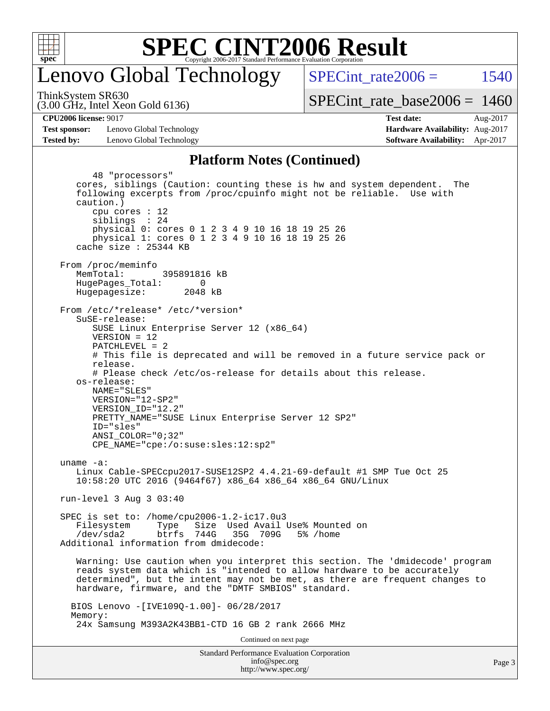

### enovo Global Technology

SPECint rate $2006 = 1540$ 

(3.00 GHz, Intel Xeon Gold 6136) ThinkSystem SR630

[SPECint\\_rate\\_base2006 =](http://www.spec.org/auto/cpu2006/Docs/result-fields.html#SPECintratebase2006) 1460

**[CPU2006 license:](http://www.spec.org/auto/cpu2006/Docs/result-fields.html#CPU2006license)** 9017 **[Test date:](http://www.spec.org/auto/cpu2006/Docs/result-fields.html#Testdate)** Aug-2017

**[Test sponsor:](http://www.spec.org/auto/cpu2006/Docs/result-fields.html#Testsponsor)** Lenovo Global Technology **[Hardware Availability:](http://www.spec.org/auto/cpu2006/Docs/result-fields.html#HardwareAvailability)** Aug-2017 **[Tested by:](http://www.spec.org/auto/cpu2006/Docs/result-fields.html#Testedby)** Lenovo Global Technology **[Software Availability:](http://www.spec.org/auto/cpu2006/Docs/result-fields.html#SoftwareAvailability)** Apr-2017

### **[Platform Notes \(Continued\)](http://www.spec.org/auto/cpu2006/Docs/result-fields.html#PlatformNotes)**

Standard Performance Evaluation Corporation [info@spec.org](mailto:info@spec.org) 48 "processors" cores, siblings (Caution: counting these is hw and system dependent. The following excerpts from /proc/cpuinfo might not be reliable. Use with caution.) cpu cores : 12 siblings : 24 physical 0: cores 0 1 2 3 4 9 10 16 18 19 25 26 physical 1: cores 0 1 2 3 4 9 10 16 18 19 25 26 cache size : 25344 KB From /proc/meminfo MemTotal: 395891816 kB HugePages\_Total: 0<br>Hugepagesize: 2048 kB Hugepagesize: From /etc/\*release\* /etc/\*version\* SuSE-release: SUSE Linux Enterprise Server 12 (x86\_64) VERSION = 12 PATCHLEVEL = 2 # This file is deprecated and will be removed in a future service pack or release. # Please check /etc/os-release for details about this release. os-release: NAME="SLES" VERSION="12-SP2" VERSION\_ID="12.2" PRETTY\_NAME="SUSE Linux Enterprise Server 12 SP2" ID="sles" ANSI\_COLOR="0;32" CPE\_NAME="cpe:/o:suse:sles:12:sp2" uname -a: Linux Cable-SPECcpu2017-SUSE12SP2 4.4.21-69-default #1 SMP Tue Oct 25 10:58:20 UTC 2016 (9464f67) x86\_64 x86\_64 x86\_64 GNU/Linux run-level 3 Aug 3 03:40 SPEC is set to: /home/cpu2006-1.2-ic17.0u3 Filesystem Type Size Used Avail Use% Mounted on /dev/sda2 btrfs 744G 35G 709G 5% /home Additional information from dmidecode: Warning: Use caution when you interpret this section. The 'dmidecode' program reads system data which is "intended to allow hardware to be accurately determined", but the intent may not be met, as there are frequent changes to hardware, firmware, and the "DMTF SMBIOS" standard. BIOS Lenovo -[IVE109Q-1.00]- 06/28/2017 Memory: 24x Samsung M393A2K43BB1-CTD 16 GB 2 rank 2666 MHz Continued on next page

<http://www.spec.org/>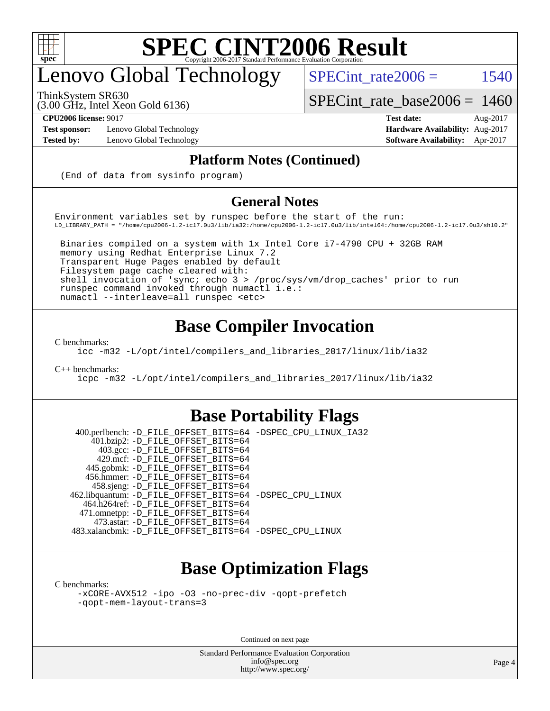

## enovo Global Technology

ThinkSystem SR630

SPECint rate $2006 =$  1540

(3.00 GHz, Intel Xeon Gold 6136)

[SPECint\\_rate\\_base2006 =](http://www.spec.org/auto/cpu2006/Docs/result-fields.html#SPECintratebase2006) 1460

**[Test sponsor:](http://www.spec.org/auto/cpu2006/Docs/result-fields.html#Testsponsor)** Lenovo Global Technology **[Hardware Availability:](http://www.spec.org/auto/cpu2006/Docs/result-fields.html#HardwareAvailability)** Aug-2017

**[CPU2006 license:](http://www.spec.org/auto/cpu2006/Docs/result-fields.html#CPU2006license)** 9017 **[Test date:](http://www.spec.org/auto/cpu2006/Docs/result-fields.html#Testdate)** Aug-2017 **[Tested by:](http://www.spec.org/auto/cpu2006/Docs/result-fields.html#Testedby)** Lenovo Global Technology **[Software Availability:](http://www.spec.org/auto/cpu2006/Docs/result-fields.html#SoftwareAvailability)** Apr-2017

### **[Platform Notes \(Continued\)](http://www.spec.org/auto/cpu2006/Docs/result-fields.html#PlatformNotes)**

(End of data from sysinfo program)

### **[General Notes](http://www.spec.org/auto/cpu2006/Docs/result-fields.html#GeneralNotes)**

Environment variables set by runspec before the start of the run: LD\_LIBRARY\_PATH = "/home/cpu2006-1.2-ic17.0u3/lib/ia32:/home/cpu2006-1.2-ic17.0u3/lib/intel64:/home/cpu2006-1.2-ic17.0u3/sh10.2"

 Binaries compiled on a system with 1x Intel Core i7-4790 CPU + 32GB RAM memory using Redhat Enterprise Linux 7.2 Transparent Huge Pages enabled by default Filesystem page cache cleared with: shell invocation of 'sync; echo 3 > /proc/sys/vm/drop\_caches' prior to run runspec command invoked through numactl i.e.: numactl --interleave=all runspec <etc>

### **[Base Compiler Invocation](http://www.spec.org/auto/cpu2006/Docs/result-fields.html#BaseCompilerInvocation)**

[C benchmarks](http://www.spec.org/auto/cpu2006/Docs/result-fields.html#Cbenchmarks):

[icc -m32 -L/opt/intel/compilers\\_and\\_libraries\\_2017/linux/lib/ia32](http://www.spec.org/cpu2006/results/res2017q4/cpu2006-20170918-49557.flags.html#user_CCbase_intel_icc_c29f3ff5a7ed067b11e4ec10a03f03ae)

[C++ benchmarks:](http://www.spec.org/auto/cpu2006/Docs/result-fields.html#CXXbenchmarks)

[icpc -m32 -L/opt/intel/compilers\\_and\\_libraries\\_2017/linux/lib/ia32](http://www.spec.org/cpu2006/results/res2017q4/cpu2006-20170918-49557.flags.html#user_CXXbase_intel_icpc_8c35c7808b62dab9ae41a1aa06361b6b)

### **[Base Portability Flags](http://www.spec.org/auto/cpu2006/Docs/result-fields.html#BasePortabilityFlags)**

 400.perlbench: [-D\\_FILE\\_OFFSET\\_BITS=64](http://www.spec.org/cpu2006/results/res2017q4/cpu2006-20170918-49557.flags.html#user_basePORTABILITY400_perlbench_file_offset_bits_64_438cf9856305ebd76870a2c6dc2689ab) [-DSPEC\\_CPU\\_LINUX\\_IA32](http://www.spec.org/cpu2006/results/res2017q4/cpu2006-20170918-49557.flags.html#b400.perlbench_baseCPORTABILITY_DSPEC_CPU_LINUX_IA32) 401.bzip2: [-D\\_FILE\\_OFFSET\\_BITS=64](http://www.spec.org/cpu2006/results/res2017q4/cpu2006-20170918-49557.flags.html#user_basePORTABILITY401_bzip2_file_offset_bits_64_438cf9856305ebd76870a2c6dc2689ab) 403.gcc: [-D\\_FILE\\_OFFSET\\_BITS=64](http://www.spec.org/cpu2006/results/res2017q4/cpu2006-20170918-49557.flags.html#user_basePORTABILITY403_gcc_file_offset_bits_64_438cf9856305ebd76870a2c6dc2689ab) 429.mcf: [-D\\_FILE\\_OFFSET\\_BITS=64](http://www.spec.org/cpu2006/results/res2017q4/cpu2006-20170918-49557.flags.html#user_basePORTABILITY429_mcf_file_offset_bits_64_438cf9856305ebd76870a2c6dc2689ab) 445.gobmk: [-D\\_FILE\\_OFFSET\\_BITS=64](http://www.spec.org/cpu2006/results/res2017q4/cpu2006-20170918-49557.flags.html#user_basePORTABILITY445_gobmk_file_offset_bits_64_438cf9856305ebd76870a2c6dc2689ab) 456.hmmer: [-D\\_FILE\\_OFFSET\\_BITS=64](http://www.spec.org/cpu2006/results/res2017q4/cpu2006-20170918-49557.flags.html#user_basePORTABILITY456_hmmer_file_offset_bits_64_438cf9856305ebd76870a2c6dc2689ab) 458.sjeng: [-D\\_FILE\\_OFFSET\\_BITS=64](http://www.spec.org/cpu2006/results/res2017q4/cpu2006-20170918-49557.flags.html#user_basePORTABILITY458_sjeng_file_offset_bits_64_438cf9856305ebd76870a2c6dc2689ab) 462.libquantum: [-D\\_FILE\\_OFFSET\\_BITS=64](http://www.spec.org/cpu2006/results/res2017q4/cpu2006-20170918-49557.flags.html#user_basePORTABILITY462_libquantum_file_offset_bits_64_438cf9856305ebd76870a2c6dc2689ab) [-DSPEC\\_CPU\\_LINUX](http://www.spec.org/cpu2006/results/res2017q4/cpu2006-20170918-49557.flags.html#b462.libquantum_baseCPORTABILITY_DSPEC_CPU_LINUX) 464.h264ref: [-D\\_FILE\\_OFFSET\\_BITS=64](http://www.spec.org/cpu2006/results/res2017q4/cpu2006-20170918-49557.flags.html#user_basePORTABILITY464_h264ref_file_offset_bits_64_438cf9856305ebd76870a2c6dc2689ab) 471.omnetpp: [-D\\_FILE\\_OFFSET\\_BITS=64](http://www.spec.org/cpu2006/results/res2017q4/cpu2006-20170918-49557.flags.html#user_basePORTABILITY471_omnetpp_file_offset_bits_64_438cf9856305ebd76870a2c6dc2689ab) 473.astar: [-D\\_FILE\\_OFFSET\\_BITS=64](http://www.spec.org/cpu2006/results/res2017q4/cpu2006-20170918-49557.flags.html#user_basePORTABILITY473_astar_file_offset_bits_64_438cf9856305ebd76870a2c6dc2689ab) 483.xalancbmk: [-D\\_FILE\\_OFFSET\\_BITS=64](http://www.spec.org/cpu2006/results/res2017q4/cpu2006-20170918-49557.flags.html#user_basePORTABILITY483_xalancbmk_file_offset_bits_64_438cf9856305ebd76870a2c6dc2689ab) [-DSPEC\\_CPU\\_LINUX](http://www.spec.org/cpu2006/results/res2017q4/cpu2006-20170918-49557.flags.html#b483.xalancbmk_baseCXXPORTABILITY_DSPEC_CPU_LINUX)

### **[Base Optimization Flags](http://www.spec.org/auto/cpu2006/Docs/result-fields.html#BaseOptimizationFlags)**

[C benchmarks](http://www.spec.org/auto/cpu2006/Docs/result-fields.html#Cbenchmarks):

[-xCORE-AVX512](http://www.spec.org/cpu2006/results/res2017q4/cpu2006-20170918-49557.flags.html#user_CCbase_f-xCORE-AVX512) [-ipo](http://www.spec.org/cpu2006/results/res2017q4/cpu2006-20170918-49557.flags.html#user_CCbase_f-ipo) [-O3](http://www.spec.org/cpu2006/results/res2017q4/cpu2006-20170918-49557.flags.html#user_CCbase_f-O3) [-no-prec-div](http://www.spec.org/cpu2006/results/res2017q4/cpu2006-20170918-49557.flags.html#user_CCbase_f-no-prec-div) [-qopt-prefetch](http://www.spec.org/cpu2006/results/res2017q4/cpu2006-20170918-49557.flags.html#user_CCbase_f-qopt-prefetch) [-qopt-mem-layout-trans=3](http://www.spec.org/cpu2006/results/res2017q4/cpu2006-20170918-49557.flags.html#user_CCbase_f-qopt-mem-layout-trans_170f5be61cd2cedc9b54468c59262d5d)

Continued on next page

Standard Performance Evaluation Corporation [info@spec.org](mailto:info@spec.org) <http://www.spec.org/>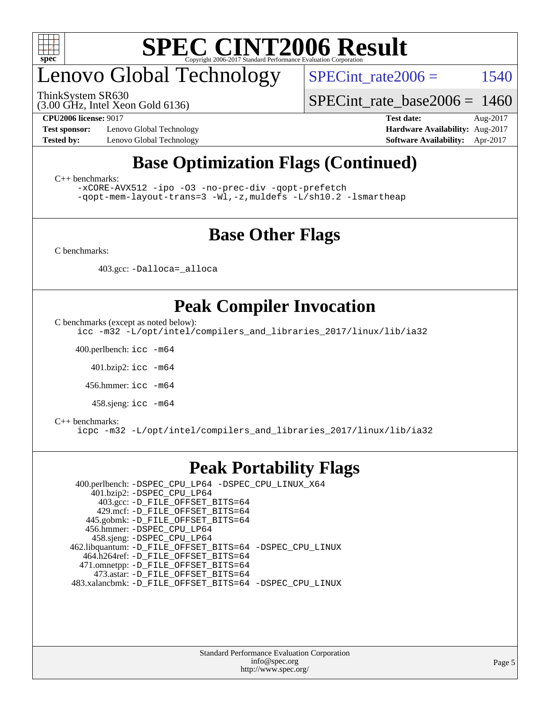

## enovo Global Technology

ThinkSystem SR630

SPECint rate $2006 =$  1540

(3.00 GHz, Intel Xeon Gold 6136)

**[Test sponsor:](http://www.spec.org/auto/cpu2006/Docs/result-fields.html#Testsponsor)** Lenovo Global Technology **[Hardware Availability:](http://www.spec.org/auto/cpu2006/Docs/result-fields.html#HardwareAvailability)** Aug-2017

[SPECint\\_rate\\_base2006 =](http://www.spec.org/auto/cpu2006/Docs/result-fields.html#SPECintratebase2006) 1460

**[CPU2006 license:](http://www.spec.org/auto/cpu2006/Docs/result-fields.html#CPU2006license)** 9017 **[Test date:](http://www.spec.org/auto/cpu2006/Docs/result-fields.html#Testdate)** Aug-2017 **[Tested by:](http://www.spec.org/auto/cpu2006/Docs/result-fields.html#Testedby)** Lenovo Global Technology **[Software Availability:](http://www.spec.org/auto/cpu2006/Docs/result-fields.html#SoftwareAvailability)** Apr-2017

### **[Base Optimization Flags \(Continued\)](http://www.spec.org/auto/cpu2006/Docs/result-fields.html#BaseOptimizationFlags)**

[C++ benchmarks:](http://www.spec.org/auto/cpu2006/Docs/result-fields.html#CXXbenchmarks)

[-xCORE-AVX512](http://www.spec.org/cpu2006/results/res2017q4/cpu2006-20170918-49557.flags.html#user_CXXbase_f-xCORE-AVX512) [-ipo](http://www.spec.org/cpu2006/results/res2017q4/cpu2006-20170918-49557.flags.html#user_CXXbase_f-ipo) [-O3](http://www.spec.org/cpu2006/results/res2017q4/cpu2006-20170918-49557.flags.html#user_CXXbase_f-O3) [-no-prec-div](http://www.spec.org/cpu2006/results/res2017q4/cpu2006-20170918-49557.flags.html#user_CXXbase_f-no-prec-div) [-qopt-prefetch](http://www.spec.org/cpu2006/results/res2017q4/cpu2006-20170918-49557.flags.html#user_CXXbase_f-qopt-prefetch) [-qopt-mem-layout-trans=3](http://www.spec.org/cpu2006/results/res2017q4/cpu2006-20170918-49557.flags.html#user_CXXbase_f-qopt-mem-layout-trans_170f5be61cd2cedc9b54468c59262d5d) [-Wl,-z,muldefs](http://www.spec.org/cpu2006/results/res2017q4/cpu2006-20170918-49557.flags.html#user_CXXbase_link_force_multiple1_74079c344b956b9658436fd1b6dd3a8a) [-L/sh10.2 -lsmartheap](http://www.spec.org/cpu2006/results/res2017q4/cpu2006-20170918-49557.flags.html#user_CXXbase_SmartHeap_b831f2d313e2fffa6dfe3f00ffc1f1c0)

### **[Base Other Flags](http://www.spec.org/auto/cpu2006/Docs/result-fields.html#BaseOtherFlags)**

[C benchmarks](http://www.spec.org/auto/cpu2006/Docs/result-fields.html#Cbenchmarks):

403.gcc: [-Dalloca=\\_alloca](http://www.spec.org/cpu2006/results/res2017q4/cpu2006-20170918-49557.flags.html#b403.gcc_baseEXTRA_CFLAGS_Dalloca_be3056838c12de2578596ca5467af7f3)

### **[Peak Compiler Invocation](http://www.spec.org/auto/cpu2006/Docs/result-fields.html#PeakCompilerInvocation)**

[C benchmarks \(except as noted below\)](http://www.spec.org/auto/cpu2006/Docs/result-fields.html#Cbenchmarksexceptasnotedbelow):

[icc -m32 -L/opt/intel/compilers\\_and\\_libraries\\_2017/linux/lib/ia32](http://www.spec.org/cpu2006/results/res2017q4/cpu2006-20170918-49557.flags.html#user_CCpeak_intel_icc_c29f3ff5a7ed067b11e4ec10a03f03ae)

400.perlbench: [icc -m64](http://www.spec.org/cpu2006/results/res2017q4/cpu2006-20170918-49557.flags.html#user_peakCCLD400_perlbench_intel_icc_64bit_bda6cc9af1fdbb0edc3795bac97ada53)

401.bzip2: [icc -m64](http://www.spec.org/cpu2006/results/res2017q4/cpu2006-20170918-49557.flags.html#user_peakCCLD401_bzip2_intel_icc_64bit_bda6cc9af1fdbb0edc3795bac97ada53)

456.hmmer: [icc -m64](http://www.spec.org/cpu2006/results/res2017q4/cpu2006-20170918-49557.flags.html#user_peakCCLD456_hmmer_intel_icc_64bit_bda6cc9af1fdbb0edc3795bac97ada53)

458.sjeng: [icc -m64](http://www.spec.org/cpu2006/results/res2017q4/cpu2006-20170918-49557.flags.html#user_peakCCLD458_sjeng_intel_icc_64bit_bda6cc9af1fdbb0edc3795bac97ada53)

#### [C++ benchmarks:](http://www.spec.org/auto/cpu2006/Docs/result-fields.html#CXXbenchmarks)

[icpc -m32 -L/opt/intel/compilers\\_and\\_libraries\\_2017/linux/lib/ia32](http://www.spec.org/cpu2006/results/res2017q4/cpu2006-20170918-49557.flags.html#user_CXXpeak_intel_icpc_8c35c7808b62dab9ae41a1aa06361b6b)

### **[Peak Portability Flags](http://www.spec.org/auto/cpu2006/Docs/result-fields.html#PeakPortabilityFlags)**

 400.perlbench: [-DSPEC\\_CPU\\_LP64](http://www.spec.org/cpu2006/results/res2017q4/cpu2006-20170918-49557.flags.html#b400.perlbench_peakCPORTABILITY_DSPEC_CPU_LP64) [-DSPEC\\_CPU\\_LINUX\\_X64](http://www.spec.org/cpu2006/results/res2017q4/cpu2006-20170918-49557.flags.html#b400.perlbench_peakCPORTABILITY_DSPEC_CPU_LINUX_X64) 401.bzip2: [-DSPEC\\_CPU\\_LP64](http://www.spec.org/cpu2006/results/res2017q4/cpu2006-20170918-49557.flags.html#suite_peakCPORTABILITY401_bzip2_DSPEC_CPU_LP64) 403.gcc: [-D\\_FILE\\_OFFSET\\_BITS=64](http://www.spec.org/cpu2006/results/res2017q4/cpu2006-20170918-49557.flags.html#user_peakPORTABILITY403_gcc_file_offset_bits_64_438cf9856305ebd76870a2c6dc2689ab) 429.mcf: [-D\\_FILE\\_OFFSET\\_BITS=64](http://www.spec.org/cpu2006/results/res2017q4/cpu2006-20170918-49557.flags.html#user_peakPORTABILITY429_mcf_file_offset_bits_64_438cf9856305ebd76870a2c6dc2689ab) 445.gobmk: [-D\\_FILE\\_OFFSET\\_BITS=64](http://www.spec.org/cpu2006/results/res2017q4/cpu2006-20170918-49557.flags.html#user_peakPORTABILITY445_gobmk_file_offset_bits_64_438cf9856305ebd76870a2c6dc2689ab) 456.hmmer: [-DSPEC\\_CPU\\_LP64](http://www.spec.org/cpu2006/results/res2017q4/cpu2006-20170918-49557.flags.html#suite_peakCPORTABILITY456_hmmer_DSPEC_CPU_LP64) 458.sjeng: [-DSPEC\\_CPU\\_LP64](http://www.spec.org/cpu2006/results/res2017q4/cpu2006-20170918-49557.flags.html#suite_peakCPORTABILITY458_sjeng_DSPEC_CPU_LP64) 462.libquantum: [-D\\_FILE\\_OFFSET\\_BITS=64](http://www.spec.org/cpu2006/results/res2017q4/cpu2006-20170918-49557.flags.html#user_peakPORTABILITY462_libquantum_file_offset_bits_64_438cf9856305ebd76870a2c6dc2689ab) [-DSPEC\\_CPU\\_LINUX](http://www.spec.org/cpu2006/results/res2017q4/cpu2006-20170918-49557.flags.html#b462.libquantum_peakCPORTABILITY_DSPEC_CPU_LINUX) 464.h264ref: [-D\\_FILE\\_OFFSET\\_BITS=64](http://www.spec.org/cpu2006/results/res2017q4/cpu2006-20170918-49557.flags.html#user_peakPORTABILITY464_h264ref_file_offset_bits_64_438cf9856305ebd76870a2c6dc2689ab) 471.omnetpp: [-D\\_FILE\\_OFFSET\\_BITS=64](http://www.spec.org/cpu2006/results/res2017q4/cpu2006-20170918-49557.flags.html#user_peakPORTABILITY471_omnetpp_file_offset_bits_64_438cf9856305ebd76870a2c6dc2689ab) 473.astar: [-D\\_FILE\\_OFFSET\\_BITS=64](http://www.spec.org/cpu2006/results/res2017q4/cpu2006-20170918-49557.flags.html#user_peakPORTABILITY473_astar_file_offset_bits_64_438cf9856305ebd76870a2c6dc2689ab) 483.xalancbmk: [-D\\_FILE\\_OFFSET\\_BITS=64](http://www.spec.org/cpu2006/results/res2017q4/cpu2006-20170918-49557.flags.html#user_peakPORTABILITY483_xalancbmk_file_offset_bits_64_438cf9856305ebd76870a2c6dc2689ab) [-DSPEC\\_CPU\\_LINUX](http://www.spec.org/cpu2006/results/res2017q4/cpu2006-20170918-49557.flags.html#b483.xalancbmk_peakCXXPORTABILITY_DSPEC_CPU_LINUX)

> Standard Performance Evaluation Corporation [info@spec.org](mailto:info@spec.org) <http://www.spec.org/>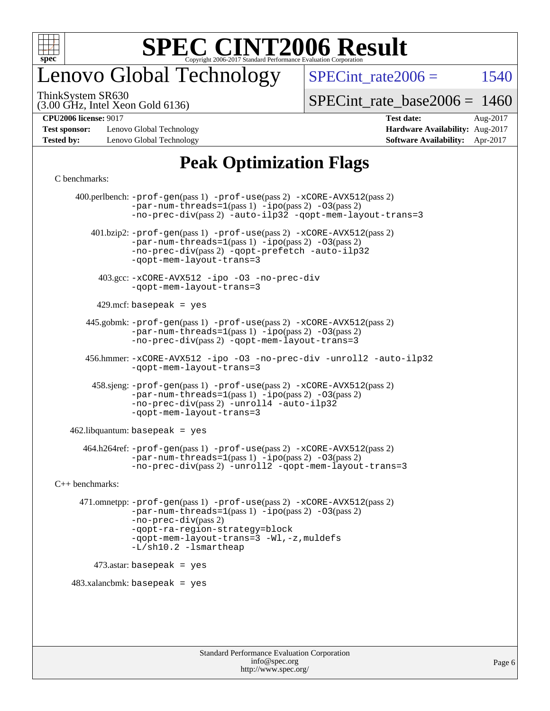

## enovo Global Technology

SPECint rate $2006 =$  1540

(3.00 GHz, Intel Xeon Gold 6136) ThinkSystem SR630

[SPECint\\_rate\\_base2006 =](http://www.spec.org/auto/cpu2006/Docs/result-fields.html#SPECintratebase2006) 1460

**[Test sponsor:](http://www.spec.org/auto/cpu2006/Docs/result-fields.html#Testsponsor)** Lenovo Global Technology **[Hardware Availability:](http://www.spec.org/auto/cpu2006/Docs/result-fields.html#HardwareAvailability)** Aug-2017 **[Tested by:](http://www.spec.org/auto/cpu2006/Docs/result-fields.html#Testedby)** Lenovo Global Technology **[Software Availability:](http://www.spec.org/auto/cpu2006/Docs/result-fields.html#SoftwareAvailability)** Apr-2017

## **[CPU2006 license:](http://www.spec.org/auto/cpu2006/Docs/result-fields.html#CPU2006license)** 9017 **[Test date:](http://www.spec.org/auto/cpu2006/Docs/result-fields.html#Testdate)** Aug-2017

### **[Peak Optimization Flags](http://www.spec.org/auto/cpu2006/Docs/result-fields.html#PeakOptimizationFlags)**

#### [C benchmarks](http://www.spec.org/auto/cpu2006/Docs/result-fields.html#Cbenchmarks):

 400.perlbench: [-prof-gen](http://www.spec.org/cpu2006/results/res2017q4/cpu2006-20170918-49557.flags.html#user_peakPASS1_CFLAGSPASS1_LDCFLAGS400_perlbench_prof_gen_e43856698f6ca7b7e442dfd80e94a8fc)(pass 1) [-prof-use](http://www.spec.org/cpu2006/results/res2017q4/cpu2006-20170918-49557.flags.html#user_peakPASS2_CFLAGSPASS2_LDCFLAGS400_perlbench_prof_use_bccf7792157ff70d64e32fe3e1250b55)(pass 2) [-xCORE-AVX512](http://www.spec.org/cpu2006/results/res2017q4/cpu2006-20170918-49557.flags.html#user_peakPASS2_CFLAGSPASS2_LDCFLAGS400_perlbench_f-xCORE-AVX512)(pass 2)  $-par-num-threads=1(pass 1) -ipo(pass 2) -O3(pass 2)$  $-par-num-threads=1(pass 1) -ipo(pass 2) -O3(pass 2)$  $-par-num-threads=1(pass 1) -ipo(pass 2) -O3(pass 2)$  $-par-num-threads=1(pass 1) -ipo(pass 2) -O3(pass 2)$  $-par-num-threads=1(pass 1) -ipo(pass 2) -O3(pass 2)$  $-par-num-threads=1(pass 1) -ipo(pass 2) -O3(pass 2)$ [-no-prec-div](http://www.spec.org/cpu2006/results/res2017q4/cpu2006-20170918-49557.flags.html#user_peakPASS2_CFLAGSPASS2_LDCFLAGS400_perlbench_f-no-prec-div)(pass 2) [-auto-ilp32](http://www.spec.org/cpu2006/results/res2017q4/cpu2006-20170918-49557.flags.html#user_peakCOPTIMIZE400_perlbench_f-auto-ilp32) [-qopt-mem-layout-trans=3](http://www.spec.org/cpu2006/results/res2017q4/cpu2006-20170918-49557.flags.html#user_peakCOPTIMIZE400_perlbench_f-qopt-mem-layout-trans_170f5be61cd2cedc9b54468c59262d5d) 401.bzip2: [-prof-gen](http://www.spec.org/cpu2006/results/res2017q4/cpu2006-20170918-49557.flags.html#user_peakPASS1_CFLAGSPASS1_LDCFLAGS401_bzip2_prof_gen_e43856698f6ca7b7e442dfd80e94a8fc)(pass 1) [-prof-use](http://www.spec.org/cpu2006/results/res2017q4/cpu2006-20170918-49557.flags.html#user_peakPASS2_CFLAGSPASS2_LDCFLAGS401_bzip2_prof_use_bccf7792157ff70d64e32fe3e1250b55)(pass 2) [-xCORE-AVX512](http://www.spec.org/cpu2006/results/res2017q4/cpu2006-20170918-49557.flags.html#user_peakPASS2_CFLAGSPASS2_LDCFLAGS401_bzip2_f-xCORE-AVX512)(pass 2) [-par-num-threads=1](http://www.spec.org/cpu2006/results/res2017q4/cpu2006-20170918-49557.flags.html#user_peakPASS1_CFLAGSPASS1_LDCFLAGS401_bzip2_par_num_threads_786a6ff141b4e9e90432e998842df6c2)(pass 1) [-ipo](http://www.spec.org/cpu2006/results/res2017q4/cpu2006-20170918-49557.flags.html#user_peakPASS2_CFLAGSPASS2_LDCFLAGS401_bzip2_f-ipo)(pass 2) [-O3](http://www.spec.org/cpu2006/results/res2017q4/cpu2006-20170918-49557.flags.html#user_peakPASS2_CFLAGSPASS2_LDCFLAGS401_bzip2_f-O3)(pass 2) [-no-prec-div](http://www.spec.org/cpu2006/results/res2017q4/cpu2006-20170918-49557.flags.html#user_peakPASS2_CFLAGSPASS2_LDCFLAGS401_bzip2_f-no-prec-div)(pass 2) [-qopt-prefetch](http://www.spec.org/cpu2006/results/res2017q4/cpu2006-20170918-49557.flags.html#user_peakCOPTIMIZE401_bzip2_f-qopt-prefetch) [-auto-ilp32](http://www.spec.org/cpu2006/results/res2017q4/cpu2006-20170918-49557.flags.html#user_peakCOPTIMIZE401_bzip2_f-auto-ilp32) [-qopt-mem-layout-trans=3](http://www.spec.org/cpu2006/results/res2017q4/cpu2006-20170918-49557.flags.html#user_peakCOPTIMIZE401_bzip2_f-qopt-mem-layout-trans_170f5be61cd2cedc9b54468c59262d5d) 403.gcc: [-xCORE-AVX512](http://www.spec.org/cpu2006/results/res2017q4/cpu2006-20170918-49557.flags.html#user_peakOPTIMIZE403_gcc_f-xCORE-AVX512) [-ipo](http://www.spec.org/cpu2006/results/res2017q4/cpu2006-20170918-49557.flags.html#user_peakOPTIMIZE403_gcc_f-ipo) [-O3](http://www.spec.org/cpu2006/results/res2017q4/cpu2006-20170918-49557.flags.html#user_peakOPTIMIZE403_gcc_f-O3) [-no-prec-div](http://www.spec.org/cpu2006/results/res2017q4/cpu2006-20170918-49557.flags.html#user_peakOPTIMIZE403_gcc_f-no-prec-div) [-qopt-mem-layout-trans=3](http://www.spec.org/cpu2006/results/res2017q4/cpu2006-20170918-49557.flags.html#user_peakCOPTIMIZE403_gcc_f-qopt-mem-layout-trans_170f5be61cd2cedc9b54468c59262d5d)  $429$ .mcf: basepeak = yes 445.gobmk: [-prof-gen](http://www.spec.org/cpu2006/results/res2017q4/cpu2006-20170918-49557.flags.html#user_peakPASS1_CFLAGSPASS1_LDCFLAGS445_gobmk_prof_gen_e43856698f6ca7b7e442dfd80e94a8fc)(pass 1) [-prof-use](http://www.spec.org/cpu2006/results/res2017q4/cpu2006-20170918-49557.flags.html#user_peakPASS2_CFLAGSPASS2_LDCFLAGSPASS2_LDFLAGS445_gobmk_prof_use_bccf7792157ff70d64e32fe3e1250b55)(pass 2) [-xCORE-AVX512](http://www.spec.org/cpu2006/results/res2017q4/cpu2006-20170918-49557.flags.html#user_peakPASS2_CFLAGSPASS2_LDCFLAGSPASS2_LDFLAGS445_gobmk_f-xCORE-AVX512)(pass 2) [-par-num-threads=1](http://www.spec.org/cpu2006/results/res2017q4/cpu2006-20170918-49557.flags.html#user_peakPASS1_CFLAGSPASS1_LDCFLAGS445_gobmk_par_num_threads_786a6ff141b4e9e90432e998842df6c2)(pass 1) [-ipo](http://www.spec.org/cpu2006/results/res2017q4/cpu2006-20170918-49557.flags.html#user_peakPASS2_LDCFLAGS445_gobmk_f-ipo)(pass 2) [-O3](http://www.spec.org/cpu2006/results/res2017q4/cpu2006-20170918-49557.flags.html#user_peakPASS2_LDCFLAGS445_gobmk_f-O3)(pass 2) [-no-prec-div](http://www.spec.org/cpu2006/results/res2017q4/cpu2006-20170918-49557.flags.html#user_peakPASS2_LDCFLAGS445_gobmk_f-no-prec-div)(pass 2) [-qopt-mem-layout-trans=3](http://www.spec.org/cpu2006/results/res2017q4/cpu2006-20170918-49557.flags.html#user_peakCOPTIMIZE445_gobmk_f-qopt-mem-layout-trans_170f5be61cd2cedc9b54468c59262d5d) 456.hmmer: [-xCORE-AVX512](http://www.spec.org/cpu2006/results/res2017q4/cpu2006-20170918-49557.flags.html#user_peakOPTIMIZE456_hmmer_f-xCORE-AVX512) [-ipo](http://www.spec.org/cpu2006/results/res2017q4/cpu2006-20170918-49557.flags.html#user_peakOPTIMIZE456_hmmer_f-ipo) [-O3](http://www.spec.org/cpu2006/results/res2017q4/cpu2006-20170918-49557.flags.html#user_peakOPTIMIZE456_hmmer_f-O3) [-no-prec-div](http://www.spec.org/cpu2006/results/res2017q4/cpu2006-20170918-49557.flags.html#user_peakOPTIMIZE456_hmmer_f-no-prec-div) [-unroll2](http://www.spec.org/cpu2006/results/res2017q4/cpu2006-20170918-49557.flags.html#user_peakCOPTIMIZE456_hmmer_f-unroll_784dae83bebfb236979b41d2422d7ec2) [-auto-ilp32](http://www.spec.org/cpu2006/results/res2017q4/cpu2006-20170918-49557.flags.html#user_peakCOPTIMIZE456_hmmer_f-auto-ilp32) [-qopt-mem-layout-trans=3](http://www.spec.org/cpu2006/results/res2017q4/cpu2006-20170918-49557.flags.html#user_peakCOPTIMIZE456_hmmer_f-qopt-mem-layout-trans_170f5be61cd2cedc9b54468c59262d5d) 458.sjeng: [-prof-gen](http://www.spec.org/cpu2006/results/res2017q4/cpu2006-20170918-49557.flags.html#user_peakPASS1_CFLAGSPASS1_LDCFLAGS458_sjeng_prof_gen_e43856698f6ca7b7e442dfd80e94a8fc)(pass 1) [-prof-use](http://www.spec.org/cpu2006/results/res2017q4/cpu2006-20170918-49557.flags.html#user_peakPASS2_CFLAGSPASS2_LDCFLAGS458_sjeng_prof_use_bccf7792157ff70d64e32fe3e1250b55)(pass 2) [-xCORE-AVX512](http://www.spec.org/cpu2006/results/res2017q4/cpu2006-20170918-49557.flags.html#user_peakPASS2_CFLAGSPASS2_LDCFLAGS458_sjeng_f-xCORE-AVX512)(pass 2) [-par-num-threads=1](http://www.spec.org/cpu2006/results/res2017q4/cpu2006-20170918-49557.flags.html#user_peakPASS1_CFLAGSPASS1_LDCFLAGS458_sjeng_par_num_threads_786a6ff141b4e9e90432e998842df6c2)(pass 1) [-ipo](http://www.spec.org/cpu2006/results/res2017q4/cpu2006-20170918-49557.flags.html#user_peakPASS2_CFLAGSPASS2_LDCFLAGS458_sjeng_f-ipo)(pass 2) [-O3](http://www.spec.org/cpu2006/results/res2017q4/cpu2006-20170918-49557.flags.html#user_peakPASS2_CFLAGSPASS2_LDCFLAGS458_sjeng_f-O3)(pass 2) [-no-prec-div](http://www.spec.org/cpu2006/results/res2017q4/cpu2006-20170918-49557.flags.html#user_peakPASS2_CFLAGSPASS2_LDCFLAGS458_sjeng_f-no-prec-div)(pass 2) [-unroll4](http://www.spec.org/cpu2006/results/res2017q4/cpu2006-20170918-49557.flags.html#user_peakCOPTIMIZE458_sjeng_f-unroll_4e5e4ed65b7fd20bdcd365bec371b81f) [-auto-ilp32](http://www.spec.org/cpu2006/results/res2017q4/cpu2006-20170918-49557.flags.html#user_peakCOPTIMIZE458_sjeng_f-auto-ilp32) [-qopt-mem-layout-trans=3](http://www.spec.org/cpu2006/results/res2017q4/cpu2006-20170918-49557.flags.html#user_peakCOPTIMIZE458_sjeng_f-qopt-mem-layout-trans_170f5be61cd2cedc9b54468c59262d5d)  $462$ .libquantum: basepeak = yes 464.h264ref: [-prof-gen](http://www.spec.org/cpu2006/results/res2017q4/cpu2006-20170918-49557.flags.html#user_peakPASS1_CFLAGSPASS1_LDCFLAGS464_h264ref_prof_gen_e43856698f6ca7b7e442dfd80e94a8fc)(pass 1) [-prof-use](http://www.spec.org/cpu2006/results/res2017q4/cpu2006-20170918-49557.flags.html#user_peakPASS2_CFLAGSPASS2_LDCFLAGS464_h264ref_prof_use_bccf7792157ff70d64e32fe3e1250b55)(pass 2) [-xCORE-AVX512](http://www.spec.org/cpu2006/results/res2017q4/cpu2006-20170918-49557.flags.html#user_peakPASS2_CFLAGSPASS2_LDCFLAGS464_h264ref_f-xCORE-AVX512)(pass 2) [-par-num-threads=1](http://www.spec.org/cpu2006/results/res2017q4/cpu2006-20170918-49557.flags.html#user_peakPASS1_CFLAGSPASS1_LDCFLAGS464_h264ref_par_num_threads_786a6ff141b4e9e90432e998842df6c2)(pass 1) [-ipo](http://www.spec.org/cpu2006/results/res2017q4/cpu2006-20170918-49557.flags.html#user_peakPASS2_CFLAGSPASS2_LDCFLAGS464_h264ref_f-ipo)(pass 2) [-O3](http://www.spec.org/cpu2006/results/res2017q4/cpu2006-20170918-49557.flags.html#user_peakPASS2_CFLAGSPASS2_LDCFLAGS464_h264ref_f-O3)(pass 2) [-no-prec-div](http://www.spec.org/cpu2006/results/res2017q4/cpu2006-20170918-49557.flags.html#user_peakPASS2_CFLAGSPASS2_LDCFLAGS464_h264ref_f-no-prec-div)(pass 2) [-unroll2](http://www.spec.org/cpu2006/results/res2017q4/cpu2006-20170918-49557.flags.html#user_peakCOPTIMIZE464_h264ref_f-unroll_784dae83bebfb236979b41d2422d7ec2) [-qopt-mem-layout-trans=3](http://www.spec.org/cpu2006/results/res2017q4/cpu2006-20170918-49557.flags.html#user_peakCOPTIMIZE464_h264ref_f-qopt-mem-layout-trans_170f5be61cd2cedc9b54468c59262d5d) [C++ benchmarks:](http://www.spec.org/auto/cpu2006/Docs/result-fields.html#CXXbenchmarks) 471.omnetpp: [-prof-gen](http://www.spec.org/cpu2006/results/res2017q4/cpu2006-20170918-49557.flags.html#user_peakPASS1_CXXFLAGSPASS1_LDCXXFLAGS471_omnetpp_prof_gen_e43856698f6ca7b7e442dfd80e94a8fc)(pass 1) [-prof-use](http://www.spec.org/cpu2006/results/res2017q4/cpu2006-20170918-49557.flags.html#user_peakPASS2_CXXFLAGSPASS2_LDCXXFLAGS471_omnetpp_prof_use_bccf7792157ff70d64e32fe3e1250b55)(pass 2) [-xCORE-AVX512](http://www.spec.org/cpu2006/results/res2017q4/cpu2006-20170918-49557.flags.html#user_peakPASS2_CXXFLAGSPASS2_LDCXXFLAGS471_omnetpp_f-xCORE-AVX512)(pass 2) [-par-num-threads=1](http://www.spec.org/cpu2006/results/res2017q4/cpu2006-20170918-49557.flags.html#user_peakPASS1_CXXFLAGSPASS1_LDCXXFLAGS471_omnetpp_par_num_threads_786a6ff141b4e9e90432e998842df6c2)(pass 1) [-ipo](http://www.spec.org/cpu2006/results/res2017q4/cpu2006-20170918-49557.flags.html#user_peakPASS2_CXXFLAGSPASS2_LDCXXFLAGS471_omnetpp_f-ipo)(pass 2) [-O3](http://www.spec.org/cpu2006/results/res2017q4/cpu2006-20170918-49557.flags.html#user_peakPASS2_CXXFLAGSPASS2_LDCXXFLAGS471_omnetpp_f-O3)(pass 2) [-no-prec-div](http://www.spec.org/cpu2006/results/res2017q4/cpu2006-20170918-49557.flags.html#user_peakPASS2_CXXFLAGSPASS2_LDCXXFLAGS471_omnetpp_f-no-prec-div)(pass 2) [-qopt-ra-region-strategy=block](http://www.spec.org/cpu2006/results/res2017q4/cpu2006-20170918-49557.flags.html#user_peakCXXOPTIMIZE471_omnetpp_f-qopt-ra-region-strategy_430aa8f7c220cbde92ae827fa8d9be32)  [-qopt-mem-layout-trans=3](http://www.spec.org/cpu2006/results/res2017q4/cpu2006-20170918-49557.flags.html#user_peakCXXOPTIMIZE471_omnetpp_f-qopt-mem-layout-trans_170f5be61cd2cedc9b54468c59262d5d) [-Wl,-z,muldefs](http://www.spec.org/cpu2006/results/res2017q4/cpu2006-20170918-49557.flags.html#user_peakEXTRA_LDFLAGS471_omnetpp_link_force_multiple1_74079c344b956b9658436fd1b6dd3a8a) [-L/sh10.2 -lsmartheap](http://www.spec.org/cpu2006/results/res2017q4/cpu2006-20170918-49557.flags.html#user_peakEXTRA_LIBS471_omnetpp_SmartHeap_b831f2d313e2fffa6dfe3f00ffc1f1c0) 473.astar: basepeak = yes  $483.xalanchmk: basepeak = yes$